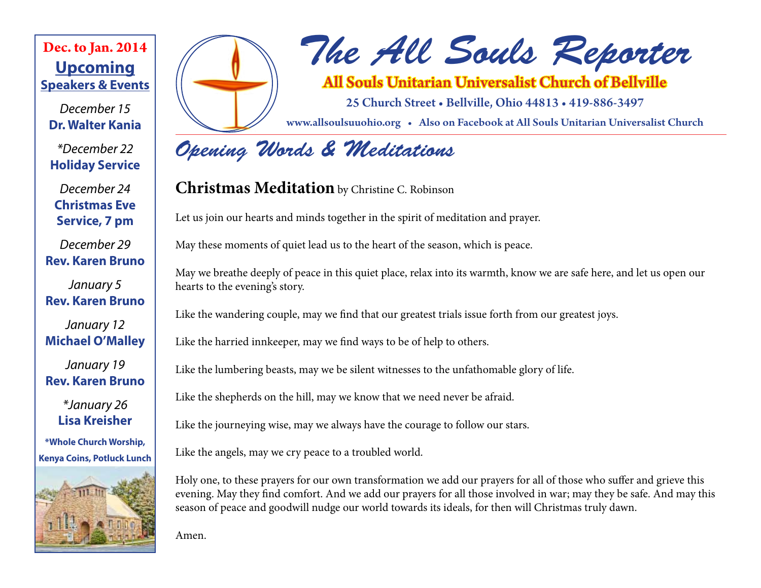### **Upcoming Speakers & Events Dec. to Jan. 2014**

*December 15* **Dr. Walter Kania**

*\*December 22* **Holiday Service**

*December 24* **Christmas Eve Service, 7 pm**

*December 29* **Rev. Karen Bruno**

*January 5* **Rev. Karen Bruno**

*January 12* **Michael O'Malley**

*January 19* **Rev. Karen Bruno**

> *\*January 26* **Lisa Kreisher**

**\*Whole Church Worship, Kenya Coins, Potluck Lunch**





# *The All Souls Reporter*

All Souls Unitarian Universalist Church of Bellville

25 Church Street • Bellville, Ohio 44813 • 419-886-3497

www.allsoulsuuohio.org • Also on Facebook at All Souls Unitarian Universalist Church

## *Opening Words & Meditations*

### **Christmas Meditation** by Christine C. Robinson

Let us join our hearts and minds together in the spirit of meditation and prayer.

May these moments of quiet lead us to the heart of the season, which is peace.

May we breathe deeply of peace in this quiet place, relax into its warmth, know we are safe here, and let us open our hearts to the evening's story.

Like the wandering couple, may we find that our greatest trials issue forth from our greatest joys.

Like the harried innkeeper, may we find ways to be of help to others.

Like the lumbering beasts, may we be silent witnesses to the unfathomable glory of life.

Like the shepherds on the hill, may we know that we need never be afraid.

Like the journeying wise, may we always have the courage to follow our stars.

Like the angels, may we cry peace to a troubled world.

Holy one, to these prayers for our own transformation we add our prayers for all of those who suffer and grieve this evening. May they find comfort. And we add our prayers for all those involved in war; may they be safe. And may this season of peace and goodwill nudge our world towards its ideals, for then will Christmas truly dawn.

Amen.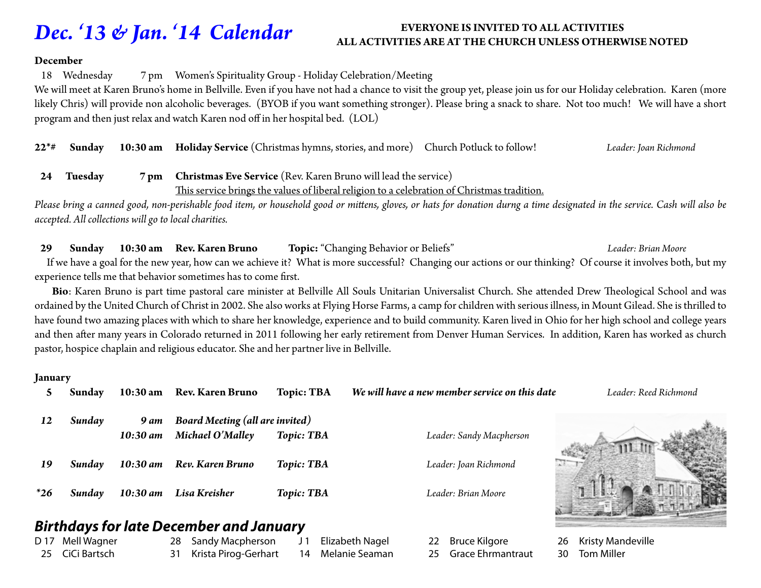### *Dec. '13 & Jan. '14 Calendar*

#### **EVERYONE IS INVITED TO ALL ACTIVITIES ALL ACTIVITIES ARE AT THE CHURCH UNLESS OTHERWISE NOTED**

#### **December**

18 Wednesday 7 pm Women's Spirituality Group - Holiday Celebration/Meeting

We will meet at Karen Bruno's home in Bellville. Even if you have not had a chance to visit the group yet, please join us for our Holiday celebration. Karen (more likely Chris) will provide non alcoholic beverages. (BYOB if you want something stronger). Please bring a snack to share. Not too much! We will have a short program and then just relax and watch Karen nod off in her hospital bed. (LOL)

**22\*# Sunday 10:30 am Holiday Service** (Christmas hymns, stories, and more) Church Potluck to follow! *Leader: Joan Richmond*

#### **24 Tuesday 7 pm Christmas Eve Service** (Rev. Karen Bruno will lead the service) This service brings the values of liberal religion to a celebration of Christmas tradition.

*Please bring a canned good, non-perishable food item, or household good or mittens, gloves, or hats for donation durng a time designated in the service. Cash will also be accepted. All collections will go to local charities.*

#### **29 Sunday 10:30 am Rev. Karen Bruno Topic:** "Changing Behavior or Beliefs" *Leader: Brian Moore*

 If we have a goal for the new year, how can we achieve it? What is more successful? Changing our actions or our thinking? Of course it involves both, but my experience tells me that behavior sometimes has to come first.

 **Bio**: Karen Bruno is part time pastoral care minister at Bellville All Souls Unitarian Universalist Church. She attended Drew Theological School and was ordained by the United Church of Christ in 2002. She also works at Flying Horse Farms, a camp for children with serious illness, in Mount Gilead. She is thrilled to have found two amazing places with which to share her knowledge, experience and to build community. Karen lived in Ohio for her high school and college years and then after many years in Colorado returned in 2011 following her early retirement from Denver Human Services. In addition, Karen has worked as church pastor, hospice chaplain and religious educator. She and her partner live in Bellville.

#### **January**

|       | Sunday | $10:30 \text{ am}$ | <b>Rev. Karen Bruno</b>                | <b>Topic: TBA</b> | We will have a new member service on this date | Leader: Reed Richmond |
|-------|--------|--------------------|----------------------------------------|-------------------|------------------------------------------------|-----------------------|
| 12    | Sunday | <b>9 am</b>        | <b>Board Meeting (all are invited)</b> |                   |                                                |                       |
|       |        | $10:30$ am         | Michael O'Malley                       | <b>Topic: TBA</b> | Leader: Sandy Macpherson                       |                       |
| 19    | Sundav | $10:30$ am         | Rev. Karen Bruno                       | <b>Topic: TBA</b> | Leader: Joan Richmond                          |                       |
| $*26$ | Sundav | $10:30$ am         | Lisa Kreisher                          | <b>Topic: TBA</b> | Leader: Brian Moore                            |                       |

#### *Birthdays for late December and January*

D 17 Mell Wagner 25 CiCi Bartsch

- 28 Sandy Macpherson 31 Krista Pirog-Gerhart
- J<sub>1</sub> Elizabeth Nagel 14 Melanie Seaman

22 Bruce Kilgore 25 Grace Ehrmantraut 26 Kristy Mandeville 30 Tom Miller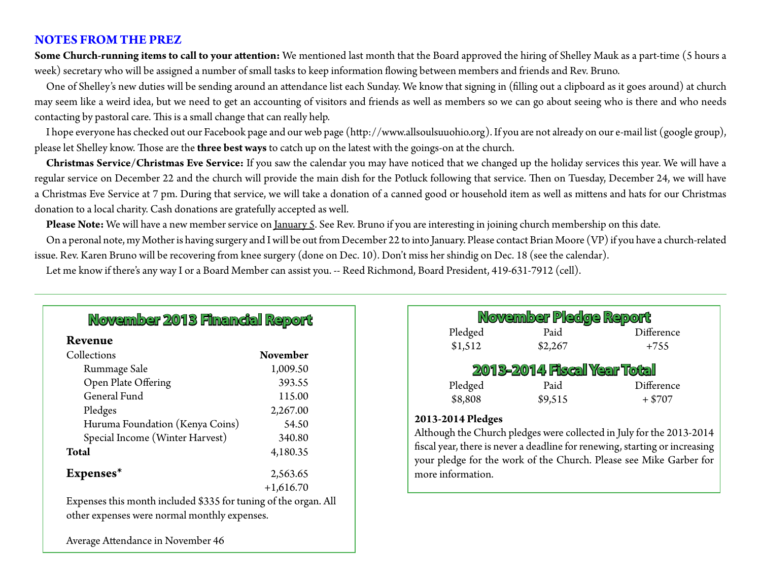#### **NOTES FROM THE PREZ**

**Some Church-running items to call to your attention:** We mentioned last month that the Board approved the hiring of Shelley Mauk as a part-time (5 hours a week) secretary who will be assigned a number of small tasks to keep information flowing between members and friends and Rev. Bruno.

One of Shelley's new duties will be sending around an attendance list each Sunday. We know that signing in (filling out a clipboard as it goes around) at church may seem like a weird idea, but we need to get an accounting of visitors and friends as well as members so we can go about seeing who is there and who needs contacting by pastoral care. This is a small change that can really help.

I hope everyone has checked out our Facebook page and our web page (http://www.allsoulsuuohio.org). If you are not already on our e-mail list (google group), please let Shelley know. Those are the **three best ways** to catch up on the latest with the goings-on at the church.

**Christmas Service/Christmas Eve Service:** If you saw the calendar you may have noticed that we changed up the holiday services this year. We will have a regular service on December 22 and the church will provide the main dish for the Potluck following that service. Then on Tuesday, December 24, we will have a Christmas Eve Service at 7 pm. During that service, we will take a donation of a canned good or household item as well as mittens and hats for our Christmas donation to a local charity. Cash donations are gratefully accepted as well.

Please Note: We will have a new member service on January 5. See Rev. Bruno if you are interesting in joining church membership on this date.

On a peronal note, my Mother is having surgery and I will be out from December 22 to into January. Please contact Brian Moore (VP) if you have a church-related issue. Rev. Karen Bruno will be recovering from knee surgery (done on Dec. 10). Don't miss her shindig on Dec. 18 (see the calendar).

Let me know if there's any way I or a Board Member can assist you. -- Reed Richmond, Board President, 419-631-7912 (cell).

#### **Revenue**

| Collections                     | <b>November</b> |
|---------------------------------|-----------------|
| Rummage Sale                    | 1,009.50        |
| Open Plate Offering             | 393.55          |
| General Fund                    | 115.00          |
| Pledges                         | 2,267.00        |
| Huruma Foundation (Kenya Coins) | 54.50           |
| Special Income (Winter Harvest) | 340.80          |
| <b>Total</b>                    | 4,180.35        |
| Expenses*                       | 2,563.65        |
|                                 | $+1,616.70$     |

Expenses this month included \$335 for tuning of the organ. All other expenses were normal monthly expenses.

Average Attendance in November 46

| November Pledge Report             |         |            |  |  |  |  |  |
|------------------------------------|---------|------------|--|--|--|--|--|
| Pledged                            | Paid    | Difference |  |  |  |  |  |
| \$1,512                            | \$2,267 | $+755$     |  |  |  |  |  |
| <b>2013-2014 Fiscal Year Total</b> |         |            |  |  |  |  |  |
| Pledged                            | Paid    | Difference |  |  |  |  |  |
| \$8,808                            | \$9,515 | $+$ \$707  |  |  |  |  |  |

#### **2013-2014 Pledges**

Although the Church pledges were collected in July for the 2013-2014 fiscal year, there is never a deadline for renewing, starting or increasing your pledge for the work of the Church. Please see Mike Garber for more information.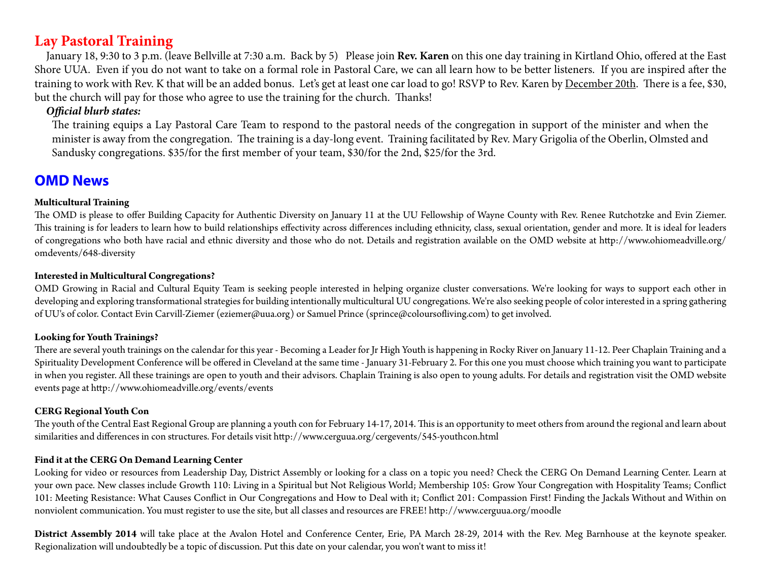#### **Lay Pastoral Training**

January 18, 9:30 to 3 p.m. (leave Bellville at 7:30 a.m. Back by 5) Please join **Rev. Karen** on this one day training in Kirtland Ohio, offered at the East Shore UUA. Even if you do not want to take on a formal role in Pastoral Care, we can all learn how to be better listeners. If you are inspired after the training to work with Rev. K that will be an added bonus. Let's get at least one car load to go! RSVP to Rev. Karen by December 20th. There is a fee, \$30, but the church will pay for those who agree to use the training for the church. Thanks!

#### *Official blurb states:*

The training equips a Lay Pastoral Care Team to respond to the pastoral needs of the congregation in support of the minister and when the minister is away from the congregation. The training is a day-long event. Training facilitated by Rev. Mary Grigolia of the Oberlin, Olmsted and Sandusky congregations. \$35/for the first member of your team, \$30/for the 2nd, \$25/for the 3rd.

#### **OMD News**

#### **Multicultural Training**

The OMD is please to offer Building Capacity for Authentic Diversity on January 11 at the UU Fellowship of Wayne County with Rev. Renee Rutchotzke and Evin Ziemer. This training is for leaders to learn how to build relationships effectivity across differences including ethnicity, class, sexual orientation, gender and more. It is ideal for leaders of congregations who both have racial and ethnic diversity and those who do not. Details and registration available on the OMD website at http://www.ohiomeadville.org/ omdevents/648-diversity

#### **Interested in Multicultural Congregations?**

OMD Growing in Racial and Cultural Equity Team is seeking people interested in helping organize cluster conversations. We're looking for ways to support each other in developing and exploring transformational strategies for building intentionally multicultural UU congregations. We're also seeking people of color interested in a spring gathering of UU's of color. Contact Evin Carvill-Ziemer (eziemer@uua.org) or Samuel Prince (sprince@coloursofliving.com) to get involved.

#### **Looking for Youth Trainings?**

There are several youth trainings on the calendar for this year - Becoming a Leader for Jr High Youth is happening in Rocky River on January 11-12. Peer Chaplain Training and a Spirituality Development Conference will be offered in Cleveland at the same time - January 31-February 2. For this one you must choose which training you want to participate in when you register. All these trainings are open to youth and their advisors. Chaplain Training is also open to young adults. For details and registration visit the OMD website events page at http://www.ohiomeadville.org/events/events

#### **CERG Regional Youth Con**

The youth of the Central East Regional Group are planning a youth con for February 14-17, 2014. This is an opportunity to meet others from around the regional and learn about similarities and differences in con structures. For details visit http://www.cerguua.org/cergevents/545-youthcon.html

#### **Find it at the CERG On Demand Learning Center**

Looking for video or resources from Leadership Day, District Assembly or looking for a class on a topic you need? Check the CERG On Demand Learning Center. Learn at your own pace. New classes include Growth 110: Living in a Spiritual but Not Religious World; Membership 105: Grow Your Congregation with Hospitality Teams; Conflict 101: Meeting Resistance: What Causes Conflict in Our Congregations and How to Deal with it; Conflict 201: Compassion First! Finding the Jackals Without and Within on nonviolent communication. You must register to use the site, but all classes and resources are FREE! http://www.cerguua.org/moodle

**District Assembly 2014** will take place at the Avalon Hotel and Conference Center, Erie, PA March 28-29, 2014 with the Rev. Meg Barnhouse at the keynote speaker. Regionalization will undoubtedly be a topic of discussion. Put this date on your calendar, you won't want to miss it!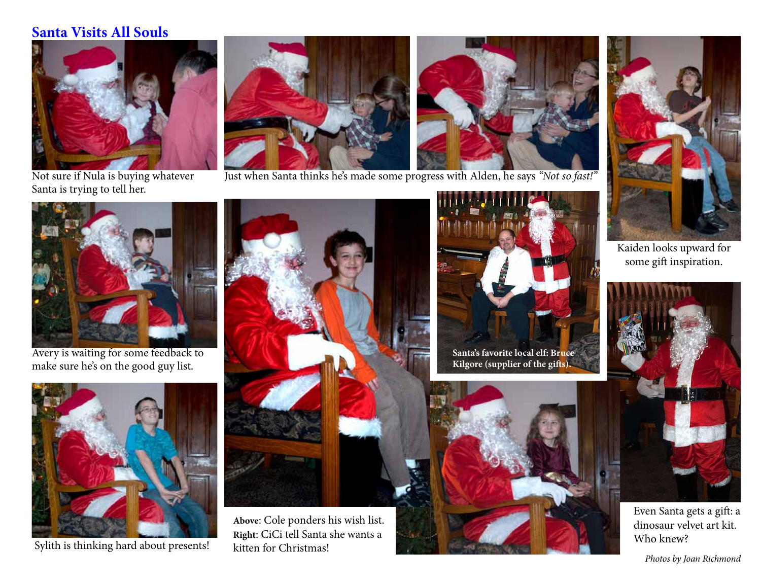#### **Santa Visits All Souls**



Not sure if Nula is buying whatever Santa is trying to tell her.



Just when Santa thinks he's made some progress with Alden, he says *"Not so fast!"*



Avery is waiting for some feedback to make sure he's on the good guy list.



Sylith is thinking hard about presents!



**Above**: Cole ponders his wish list. **Right**: CiCi tell Santa she wants a kitten for Christmas!



**Santa's favorite local elf: Bruce Kilgore (supplier of the gifts).**





Kaiden looks upward for some gift inspiration.



Even Santa gets a gift: a dinosaur velvet art kit. Who knew?